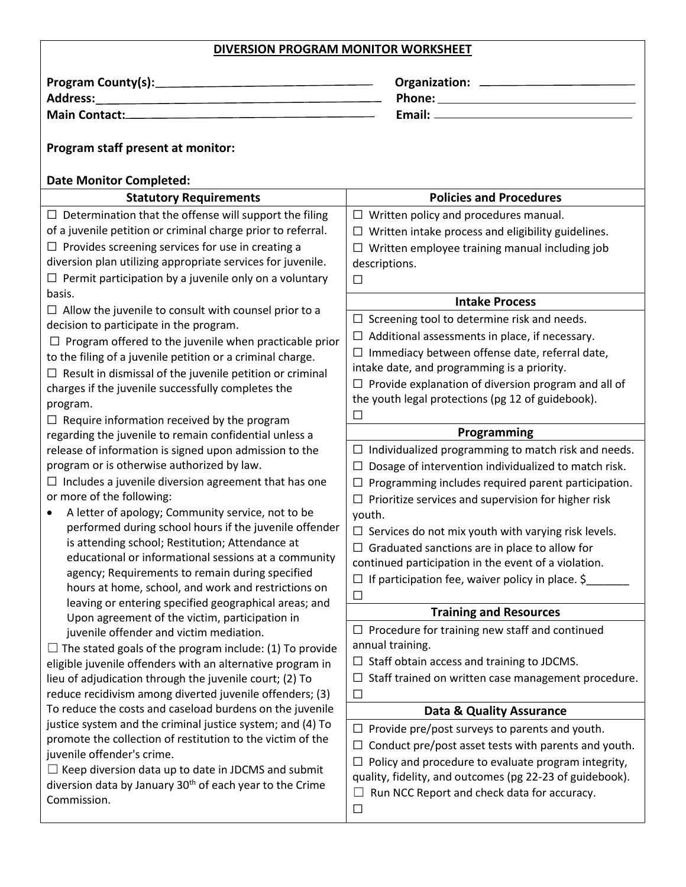| DIVERSION PROGRAM MONITOR WORKSHEET                                                                                                                                                                                            |                                                                     |  |  |
|--------------------------------------------------------------------------------------------------------------------------------------------------------------------------------------------------------------------------------|---------------------------------------------------------------------|--|--|
|                                                                                                                                                                                                                                |                                                                     |  |  |
| Address: National Address: National Address: National Address: National Address: National Address: National Address: National Address: National Address: National Address: National Address: National Address: National Addres |                                                                     |  |  |
|                                                                                                                                                                                                                                |                                                                     |  |  |
|                                                                                                                                                                                                                                |                                                                     |  |  |
| Program staff present at monitor:                                                                                                                                                                                              |                                                                     |  |  |
|                                                                                                                                                                                                                                |                                                                     |  |  |
| <b>Date Monitor Completed:</b>                                                                                                                                                                                                 |                                                                     |  |  |
| <b>Statutory Requirements</b>                                                                                                                                                                                                  | <b>Policies and Procedures</b>                                      |  |  |
| $\Box$ Determination that the offense will support the filing                                                                                                                                                                  | $\Box$ Written policy and procedures manual.                        |  |  |
| of a juvenile petition or criminal charge prior to referral.                                                                                                                                                                   | $\Box$ Written intake process and eligibility guidelines.           |  |  |
| $\Box$ Provides screening services for use in creating a                                                                                                                                                                       | $\Box$ Written employee training manual including job               |  |  |
| diversion plan utilizing appropriate services for juvenile.                                                                                                                                                                    | descriptions.                                                       |  |  |
| $\Box$ Permit participation by a juvenile only on a voluntary                                                                                                                                                                  | $\Box$                                                              |  |  |
| basis.                                                                                                                                                                                                                         | <b>Intake Process</b>                                               |  |  |
| $\Box$ Allow the juvenile to consult with counsel prior to a                                                                                                                                                                   | $\Box$ Screening tool to determine risk and needs.                  |  |  |
| decision to participate in the program.                                                                                                                                                                                        | $\Box$ Additional assessments in place, if necessary.               |  |  |
| $\Box$ Program offered to the juvenile when practicable prior                                                                                                                                                                  | $\Box$ Immediacy between offense date, referral date,               |  |  |
| to the filing of a juvenile petition or a criminal charge.                                                                                                                                                                     | intake date, and programming is a priority.                         |  |  |
| $\Box$ Result in dismissal of the juvenile petition or criminal                                                                                                                                                                | $\Box$ Provide explanation of diversion program and all of          |  |  |
| charges if the juvenile successfully completes the                                                                                                                                                                             | the youth legal protections (pg 12 of guidebook).                   |  |  |
| program.                                                                                                                                                                                                                       | □                                                                   |  |  |
| $\Box$ Require information received by the program                                                                                                                                                                             | Programming                                                         |  |  |
| regarding the juvenile to remain confidential unless a                                                                                                                                                                         | $\Box$ Individualized programming to match risk and needs.          |  |  |
| release of information is signed upon admission to the<br>program or is otherwise authorized by law.                                                                                                                           |                                                                     |  |  |
|                                                                                                                                                                                                                                | Dosage of intervention individualized to match risk.<br>$\Box$      |  |  |
| $\Box$ Includes a juvenile diversion agreement that has one<br>or more of the following:                                                                                                                                       | $\Box$ Programming includes required parent participation.          |  |  |
| A letter of apology; Community service, not to be                                                                                                                                                                              | Prioritize services and supervision for higher risk                 |  |  |
| performed during school hours if the juvenile offender                                                                                                                                                                         | youth.                                                              |  |  |
| is attending school; Restitution; Attendance at                                                                                                                                                                                | $\Box$ Services do not mix youth with varying risk levels.          |  |  |
| educational or informational sessions at a community                                                                                                                                                                           | $\Box$ Graduated sanctions are in place to allow for                |  |  |
| agency; Requirements to remain during specified                                                                                                                                                                                | continued participation in the event of a violation.                |  |  |
| hours at home, school, and work and restrictions on                                                                                                                                                                            | If participation fee, waiver policy in place. $\zeta$               |  |  |
| leaving or entering specified geographical areas; and                                                                                                                                                                          | $\Box$                                                              |  |  |
| Upon agreement of the victim, participation in                                                                                                                                                                                 | <b>Training and Resources</b>                                       |  |  |
| juvenile offender and victim mediation.                                                                                                                                                                                        | $\Box$ Procedure for training new staff and continued               |  |  |
| $\Box$ The stated goals of the program include: (1) To provide                                                                                                                                                                 | annual training.                                                    |  |  |
| eligible juvenile offenders with an alternative program in                                                                                                                                                                     | $\Box$ Staff obtain access and training to JDCMS.                   |  |  |
| lieu of adjudication through the juvenile court; (2) To                                                                                                                                                                        | $\Box$ Staff trained on written case management procedure.          |  |  |
| reduce recidivism among diverted juvenile offenders; (3)                                                                                                                                                                       | $\Box$                                                              |  |  |
| To reduce the costs and caseload burdens on the juvenile                                                                                                                                                                       | <b>Data &amp; Quality Assurance</b>                                 |  |  |
| justice system and the criminal justice system; and (4) To                                                                                                                                                                     | $\Box$ Provide pre/post surveys to parents and youth.               |  |  |
| promote the collection of restitution to the victim of the                                                                                                                                                                     | Conduct pre/post asset tests with parents and youth.<br>ப           |  |  |
| juvenile offender's crime.                                                                                                                                                                                                     | Policy and procedure to evaluate program integrity,                 |  |  |
| $\Box$ Keep diversion data up to date in JDCMS and submit                                                                                                                                                                      | $\lim_{x \to 0} f(d_{0})$ its and outcomes (no. 33.32 of quidobook) |  |  |

Commission.

diversion data by January 30<sup>th</sup> of each year to the Crime quality, fidelity, and outcomes (pg 22-23 of guidebook). ☐ Run NCC Report and check data for accuracy.

 $\Box$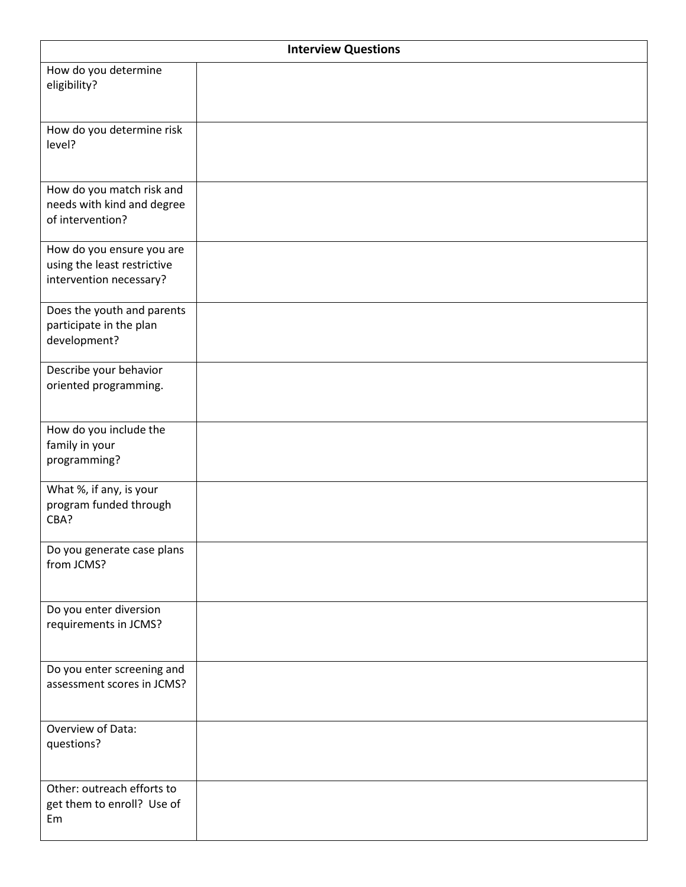| <b>Interview Questions</b>                                                          |  |  |
|-------------------------------------------------------------------------------------|--|--|
| How do you determine<br>eligibility?                                                |  |  |
| How do you determine risk<br>level?                                                 |  |  |
| How do you match risk and<br>needs with kind and degree<br>of intervention?         |  |  |
| How do you ensure you are<br>using the least restrictive<br>intervention necessary? |  |  |
| Does the youth and parents<br>participate in the plan<br>development?               |  |  |
| Describe your behavior<br>oriented programming.                                     |  |  |
| How do you include the<br>family in your<br>programming?                            |  |  |
| What %, if any, is your<br>program funded through<br>CBA?                           |  |  |
| Do you generate case plans<br>from JCMS?                                            |  |  |
| Do you enter diversion<br>requirements in JCMS?                                     |  |  |
| Do you enter screening and<br>assessment scores in JCMS?                            |  |  |
| Overview of Data:<br>questions?                                                     |  |  |
| Other: outreach efforts to<br>get them to enroll? Use of<br>Em                      |  |  |